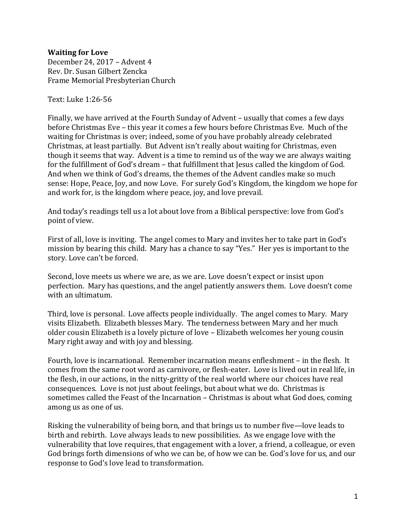## **Waiting for Love**

December 24, 2017 – Advent 4 Rev. Dr. Susan Gilbert Zencka Frame Memorial Presbyterian Church

Text: Luke 1:26-56

Finally, we have arrived at the Fourth Sunday of Advent – usually that comes a few days before Christmas Eve – this year it comes a few hours before Christmas Eve. Much of the waiting for Christmas is over; indeed, some of you have probably already celebrated Christmas, at least partially. But Advent isn't really about waiting for Christmas, even though it seems that way. Advent is a time to remind us of the way we are always waiting for the fulfillment of God's dream – that fulfillment that Jesus called the kingdom of God. And when we think of God's dreams, the themes of the Advent candles make so much sense: Hope, Peace, Joy, and now Love. For surely God's Kingdom, the kingdom we hope for and work for, is the kingdom where peace, joy, and love prevail.

And today's readings tell us a lot about love from a Biblical perspective: love from God's point of view.

First of all, love is inviting. The angel comes to Mary and invites her to take part in God's mission by bearing this child. Mary has a chance to say "Yes." Her yes is important to the story. Love can't be forced.

Second, love meets us where we are, as we are. Love doesn't expect or insist upon perfection. Mary has questions, and the angel patiently answers them. Love doesn't come with an ultimatum.

Third, love is personal. Love affects people individually. The angel comes to Mary. Mary visits Elizabeth. Elizabeth blesses Mary. The tenderness between Mary and her much older cousin Elizabeth is a lovely picture of love – Elizabeth welcomes her young cousin Mary right away and with joy and blessing.

Fourth, love is incarnational. Remember incarnation means enfleshment – in the flesh. It comes from the same root word as carnivore, or flesh-eater. Love is lived out in real life, in the flesh, in our actions, in the nitty-gritty of the real world where our choices have real consequences. Love is not just about feelings, but about what we do. Christmas is sometimes called the Feast of the Incarnation – Christmas is about what God does, coming among us as one of us.

Risking the vulnerability of being born, and that brings us to number five—love leads to birth and rebirth. Love always leads to new possibilities. As we engage love with the vulnerability that love requires, that engagement with a lover, a friend, a colleague, or even God brings forth dimensions of who we can be, of how we can be. God's love for us, and our response to God's love lead to transformation.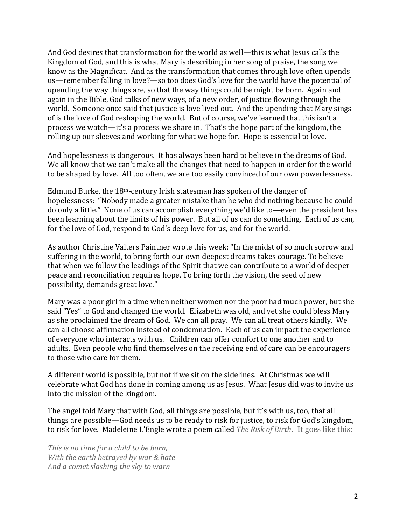And God desires that transformation for the world as well—this is what Jesus calls the Kingdom of God, and this is what Mary is describing in her song of praise, the song we know as the Magnificat. And as the transformation that comes through love often upends us—remember falling in love?—so too does God's love for the world have the potential of upending the way things are, so that the way things could be might be born. Again and again in the Bible, God talks of new ways, of a new order, of justice flowing through the world. Someone once said that justice is love lived out. And the upending that Mary sings of is the love of God reshaping the world. But of course, we've learned that this isn't a process we watch—it's a process we share in. That's the hope part of the kingdom, the rolling up our sleeves and working for what we hope for. Hope is essential to love.

And hopelessness is dangerous. It has always been hard to believe in the dreams of God. We all know that we can't make all the changes that need to happen in order for the world to be shaped by love. All too often, we are too easily convinced of our own powerlessness.

Edmund Burke, the 18th-century Irish statesman has spoken of the danger of hopelessness: "Nobody made a greater mistake than he who did nothing because he could do only a little." None of us can accomplish everything we'd like to—even the president has been learning about the limits of his power. But all of us can do something. Each of us can, for the love of God, respond to God's deep love for us, and for the world.

As author Christine Valters Paintner wrote this week: "In the midst of so much sorrow and suffering in the world, to bring forth our own deepest dreams takes courage. To believe that when we follow the leadings of the Spirit that we can contribute to a world of deeper peace and reconciliation requires hope. To bring forth the vision, the seed of new possibility, demands great love."

Mary was a poor girl in a time when neither women nor the poor had much power, but she said "Yes" to God and changed the world. Elizabeth was old, and yet she could bless Mary as she proclaimed the dream of God. We can all pray. We can all treat others kindly. We can all choose affirmation instead of condemnation. Each of us can impact the experience of everyone who interacts with us. Children can offer comfort to one another and to adults. Even people who find themselves on the receiving end of care can be encouragers to those who care for them.

A different world is possible, but not if we sit on the sidelines. At Christmas we will celebrate what God has done in coming among us as Jesus. What Jesus did was to invite us into the mission of the kingdom.

The angel told Mary that with God, all things are possible, but it's with us, too, that all things are possible—God needs us to be ready to risk for justice, to risk for God's kingdom, to risk for love. Madeleine L'Engle wrote a poem called *The Risk of Birth*. It goes like this:

*This is no time for a child to be born, With the earth betrayed by war & hate And a comet slashing the sky to warn*